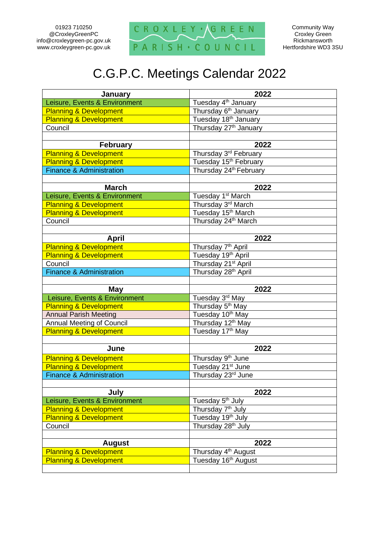01923 710250 @CroxleyGreenPC info@croxleygreen-pc.gov.uk www.croxleygreen-pc.gov.uk



Community Way Croxley Green **Rickmansworth** Hertfordshire WD3 3SU

## C.G.P.C. Meetings Calendar 2022

| <b>January</b>                      | 2022                               |
|-------------------------------------|------------------------------------|
| Leisure, Events & Environment       | Tuesday 4 <sup>th</sup> January    |
| <b>Planning &amp; Development</b>   | Thursday 6 <sup>th</sup> January   |
| <b>Planning &amp; Development</b>   | Tuesday 18 <sup>th</sup> January   |
| Council                             | Thursday 27 <sup>th</sup> January  |
|                                     |                                    |
| <b>February</b>                     | 2022                               |
| <b>Planning &amp; Development</b>   | Thursday 3 <sup>rd</sup> February  |
| <b>Planning &amp; Development</b>   | Tuesday 15 <sup>th</sup> February  |
| <b>Finance &amp; Administration</b> | Thursday 24 <sup>th</sup> February |
|                                     |                                    |
| <b>March</b>                        | 2022                               |
| Leisure, Events & Environment       | Tuesday 1 <sup>st</sup> March      |
| <b>Planning &amp; Development</b>   | Thursday 3rd March                 |
| <b>Planning &amp; Development</b>   | Tuesday 15 <sup>th</sup> March     |
| Council                             | Thursday 24th March                |
|                                     |                                    |
| <b>April</b>                        | 2022                               |
| <b>Planning &amp; Development</b>   | Thursday 7 <sup>th</sup> April     |
| <b>Planning &amp; Development</b>   | Tuesday 19th April                 |
| Council                             | Thursday 21 <sup>st</sup> April    |
| <b>Finance &amp; Administration</b> | Thursday 28 <sup>th</sup> April    |
|                                     |                                    |
| <b>May</b>                          | 2022                               |
| Leisure, Events & Environment       | Tuesday 3rd May                    |
| <b>Planning &amp; Development</b>   | Thursday 5 <sup>th</sup> May       |
| <b>Annual Parish Meeting</b>        | Tuesday 10 <sup>th</sup> May       |
| <b>Annual Meeting of Council</b>    | Thursday 12 <sup>th</sup> May      |
| <b>Planning &amp; Development</b>   | Tuesday 17th May                   |
|                                     |                                    |
| June                                | 2022                               |
| <b>Planning &amp; Development</b>   | Thursday 9 <sup>th</sup> June      |
| <b>Planning &amp; Development</b>   | Tuesday 21 <sup>st</sup> June      |
| <b>Finance &amp; Administration</b> | Thursday 23rd June                 |
|                                     |                                    |
| July                                | 2022                               |
| Leisure, Events & Environment       | Tuesday 5 <sup>th</sup> July       |
| <b>Planning &amp; Development</b>   | Thursday 7 <sup>th</sup> July      |
| <b>Planning &amp; Development</b>   | Tuesday 19th July                  |
| Council                             | Thursday 28 <sup>th</sup> July     |
|                                     |                                    |
| <b>August</b>                       | 2022                               |
| <b>Planning &amp; Development</b>   | Thursday 4 <sup>th</sup> August    |
| <b>Planning &amp; Development</b>   |                                    |
|                                     | Tuesday 16th August                |